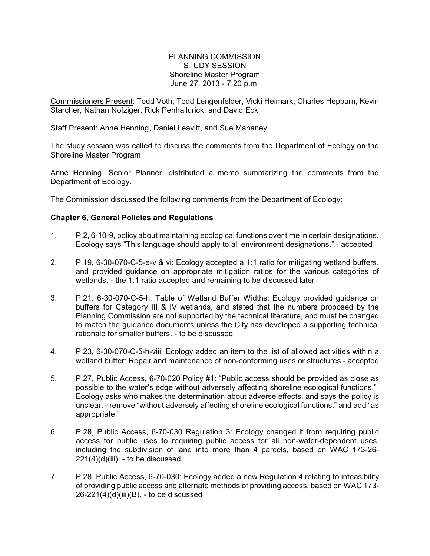## PLANNING COMMISSION STUDY SESSION Shoreline Master Program June 27, 2013 - 7:20 p.m.

Commissioners Present: Todd Voth, Todd Lengenfelder, Vicki Heimark, Charles Hepburn, Kevin Starcher, Nathan Nofziger, Rick Penhallurick, and David Eck

Staff Present: Anne Henning, Daniel Leavitt, and Sue Mahaney

The study session was called to discuss the comments from the Department of Ecology on the Shoreline Master Program.

Anne Henning, Senior Planner, distributed a memo summarizing the comments from the Department of Ecology.

The Commission discussed the following comments from the Department of Ecology:

## **Chapter 6, General Policies and Regulations**

- 1. P.2, 6-10-9, policy about maintaining ecological functions over time in certain designations. Ecology says "This language should apply to all environment designations." - accepted
- 2. P.19, 6-30-070-C-5-e-v & vi: Ecology accepted a 1:1 ratio for mitigating wetland buffers, and provided guidance on appropriate mitigation ratios for the various categories of wetlands. - the 1:1 ratio accepted and remaining to be discussed later
- 3. P.21. 6-30-070-C-5-h, Table of Wetland Buffer Widths: Ecology provided guidance on buffers for Category III & IV wetlands, and stated that the numbers proposed by the Planning Commission are not supported by the technical literature, and must be changed to match the guidance documents unless the City has developed a supporting technical rationale for smaller buffers. - to be discussed
- 4. P.23, 6-30-070-C-5-h-viii: Ecology added an item to the list of allowed activities within a wetland buffer: Repair and maintenance of non-conforming uses or structures - accepted
- 5. P.27, Public Access, 6-70-020 Policy #1: "Public access should be provided as close as possible to the water's edge without adversely affecting shoreline ecological functions." Ecology asks who makes the determination about adverse effects, and says the policy is unclear. - remove "without adversely affecting shoreline ecological functions." and add "as appropriate."
- 6. P.28, Public Access, 6-70-030 Regulation 3: Ecology changed it from requiring public access for public uses to requiring public access for all non-water-dependent uses, including the subdivision of land into more than 4 parcels, based on WAC 173-26-  $221(4)(d)(iii)$ . - to be discussed
- 7. P.28, Public Access, 6-70-030: Ecology added a new Regulation 4 relating to infeasibility of providing public access and alternate methods of providing access, based on WAC 173-  $26-221(4)(d)(iii)(B)$ . - to be discussed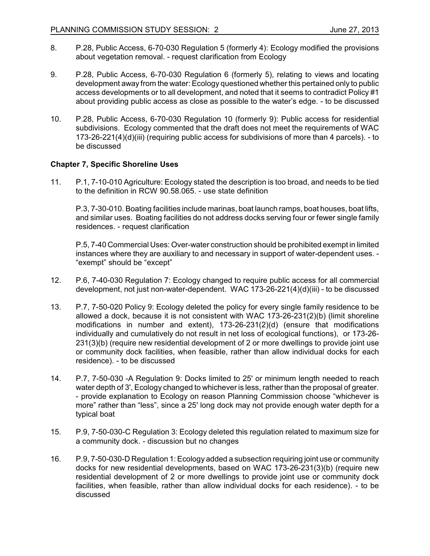- 8. P.28, Public Access, 6-70-030 Regulation 5 (formerly 4): Ecology modified the provisions about vegetation removal. - request clarification from Ecology
- 9. P.28, Public Access, 6-70-030 Regulation 6 (formerly 5), relating to views and locating development away from the water: Ecology questioned whether this pertained only to public access developments or to all development, and noted that it seems to contradict Policy #1 about providing public access as close as possible to the water's edge. - to be discussed
- 10. P.28, Public Access, 6-70-030 Regulation 10 (formerly 9): Public access for residential subdivisions. Ecology commented that the draft does not meet the requirements of WAC 173-26-221(4)(d)(iii) (requiring public access for subdivisions of more than 4 parcels). - to be discussed

## **Chapter 7, Specific Shoreline Uses**

11. P.1, 7-10-010 Agriculture: Ecology stated the description is too broad, and needs to be tied to the definition in RCW 90.58.065. - use state definition

P.3, 7-30-010. Boating facilities include marinas, boat launch ramps, boat houses, boat lifts, and similar uses. Boating facilities do not address docks serving four or fewer single family residences. - request clarification

P.5, 7-40 Commercial Uses: Over-water construction should be prohibited exempt in limited instances where they are auxiliary to and necessary in support of water-dependent uses. - "exempt" should be "except"

- 12. P.6, 7-40-030 Regulation 7: Ecology changed to require public access for all commercial development, not just non-water-dependent. WAC 173-26-221(4)(d)(iii) - to be discussed
- 13. P.7, 7-50-020 Policy 9: Ecology deleted the policy for every single family residence to be allowed a dock, because it is not consistent with WAC 173-26-231(2)(b) (limit shoreline modifications in number and extent), 173-26-231(2)(d) (ensure that modifications individually and cumulatively do not result in net loss of ecological functions), or 173-26- 231(3)(b) (require new residential development of 2 or more dwellings to provide joint use or community dock facilities, when feasible, rather than allow individual docks for each residence). - to be discussed
- 14. P.7, 7-50-030 -A Regulation 9: Docks limited to 25' or minimum length needed to reach water depth of 3', Ecology changed to whichever is less, rather than the proposal of greater. - provide explanation to Ecology on reason Planning Commission choose "whichever is more" rather than "less", since a 25' long dock may not provide enough water depth for a typical boat
- 15. P.9, 7-50-030-C Regulation 3: Ecology deleted this regulation related to maximum size for a community dock. - discussion but no changes
- 16. P.9, 7-50-030-D Regulation 1: Ecology added a subsection requiring joint use or community docks for new residential developments, based on WAC 173-26-231(3)(b) (require new residential development of 2 or more dwellings to provide joint use or community dock facilities, when feasible, rather than allow individual docks for each residence). - to be discussed